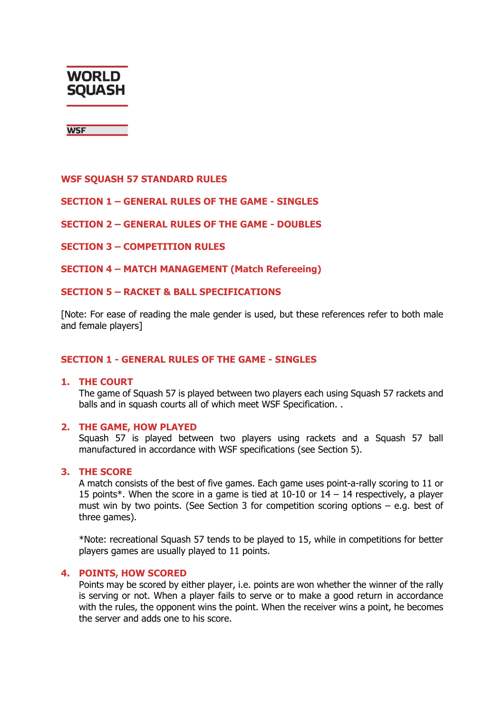

**WSF** 

### **WSF SQUASH 57 STANDARD RULES**

### **SECTION 1 – GENERAL RULES OF THE GAME - SINGLES**

### **SECTION 2 – GENERAL RULES OF THE GAME - DOUBLES**

#### **SECTION 3 – COMPETITION RULES**

**SECTION 4 – MATCH MANAGEMENT (Match Refereeing)** 

#### **SECTION 5 – RACKET & BALL SPECIFICATIONS**

[Note: For ease of reading the male gender is used, but these references refer to both male and female players]

#### **SECTION 1 - GENERAL RULES OF THE GAME - SINGLES**

#### **1. THE COURT**

The game of Squash 57 is played between two players each using Squash 57 rackets and balls and in squash courts all of which meet WSF Specification. .

### **2. THE GAME, HOW PLAYED**

Squash 57 is played between two players using rackets and a Squash 57 ball manufactured in accordance with WSF specifications (see Section 5).

### **3. THE SCORE**

A match consists of the best of five games. Each game uses point-a-rally scoring to 11 or 15 points\*. When the score in a game is tied at  $10-10$  or  $14-14$  respectively, a player must win by two points. (See Section 3 for competition scoring options – e.g. best of three games).

\*Note: recreational Squash 57 tends to be played to 15, while in competitions for better players games are usually played to 11 points.

#### **4. POINTS, HOW SCORED**

Points may be scored by either player, i.e. points are won whether the winner of the rally is serving or not. When a player fails to serve or to make a good return in accordance with the rules, the opponent wins the point. When the receiver wins a point, he becomes the server and adds one to his score.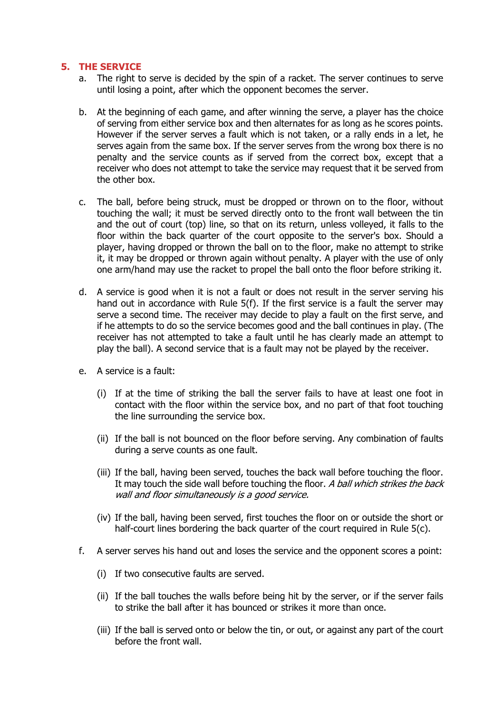### **5. THE SERVICE**

- a. The right to serve is decided by the spin of a racket. The server continues to serve until losing a point, after which the opponent becomes the server.
- b. At the beginning of each game, and after winning the serve, a player has the choice of serving from either service box and then alternates for as long as he scores points. However if the server serves a fault which is not taken, or a rally ends in a let, he serves again from the same box. If the server serves from the wrong box there is no penalty and the service counts as if served from the correct box, except that a receiver who does not attempt to take the service may request that it be served from the other box.
- c. The ball, before being struck, must be dropped or thrown on to the floor, without touching the wall; it must be served directly onto to the front wall between the tin and the out of court (top) line, so that on its return, unless volleyed, it falls to the floor within the back quarter of the court opposite to the server's box. Should a player, having dropped or thrown the ball on to the floor, make no attempt to strike it, it may be dropped or thrown again without penalty. A player with the use of only one arm/hand may use the racket to propel the ball onto the floor before striking it.
- d. A service is good when it is not a fault or does not result in the server serving his hand out in accordance with Rule 5(f). If the first service is a fault the server may serve a second time. The receiver may decide to play a fault on the first serve, and if he attempts to do so the service becomes good and the ball continues in play. (The receiver has not attempted to take a fault until he has clearly made an attempt to play the ball). A second service that is a fault may not be played by the receiver.
- e. A service is a fault:
	- (i) If at the time of striking the ball the server fails to have at least one foot in contact with the floor within the service box, and no part of that foot touching the line surrounding the service box.
	- (ii) If the ball is not bounced on the floor before serving. Any combination of faults during a serve counts as one fault.
	- (iii) If the ball, having been served, touches the back wall before touching the floor. It may touch the side wall before touching the floor. A ball which strikes the back wall and floor simultaneously is a good service.
	- (iv) If the ball, having been served, first touches the floor on or outside the short or half-court lines bordering the back quarter of the court required in Rule 5(c).
- f. A server serves his hand out and loses the service and the opponent scores a point:
	- (i) If two consecutive faults are served.
	- (ii) If the ball touches the walls before being hit by the server, or if the server fails to strike the ball after it has bounced or strikes it more than once.
	- (iii) If the ball is served onto or below the tin, or out, or against any part of the court before the front wall.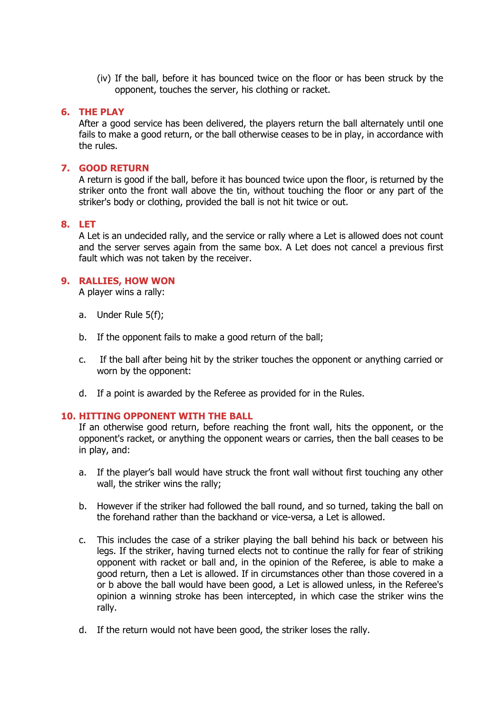(iv) If the ball, before it has bounced twice on the floor or has been struck by the opponent, touches the server, his clothing or racket.

# **6. THE PLAY**

After a good service has been delivered, the players return the ball alternately until one fails to make a good return, or the ball otherwise ceases to be in play, in accordance with the rules.

# **7. GOOD RETURN**

A return is good if the ball, before it has bounced twice upon the floor, is returned by the striker onto the front wall above the tin, without touching the floor or any part of the striker's body or clothing, provided the ball is not hit twice or out.

# **8. LET**

A Let is an undecided rally, and the service or rally where a Let is allowed does not count and the server serves again from the same box. A Let does not cancel a previous first fault which was not taken by the receiver.

# **9. RALLIES, HOW WON**

A player wins a rally:

- a. Under Rule 5(f);
- b. If the opponent fails to make a good return of the ball;
- c. If the ball after being hit by the striker touches the opponent or anything carried or worn by the opponent:
- d. If a point is awarded by the Referee as provided for in the Rules.

# **10. HITTING OPPONENT WITH THE BALL**

If an otherwise good return, before reaching the front wall, hits the opponent, or the opponent's racket, or anything the opponent wears or carries, then the ball ceases to be in play, and:

- a. If the player's ball would have struck the front wall without first touching any other wall, the striker wins the rally;
- b. However if the striker had followed the ball round, and so turned, taking the ball on the forehand rather than the backhand or vice-versa, a Let is allowed.
- c. This includes the case of a striker playing the ball behind his back or between his legs. If the striker, having turned elects not to continue the rally for fear of striking opponent with racket or ball and, in the opinion of the Referee, is able to make a good return, then a Let is allowed. If in circumstances other than those covered in a or b above the ball would have been good, a Let is allowed unless, in the Referee's opinion a winning stroke has been intercepted, in which case the striker wins the rally.
- d. If the return would not have been good, the striker loses the rally.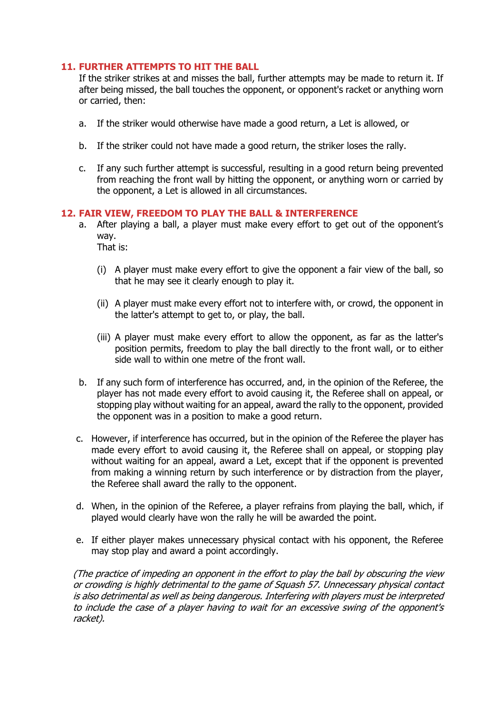# **11. FURTHER ATTEMPTS TO HIT THE BALL**

If the striker strikes at and misses the ball, further attempts may be made to return it. If after being missed, the ball touches the opponent, or opponent's racket or anything worn or carried, then:

- a. If the striker would otherwise have made a good return, a Let is allowed, or
- b. If the striker could not have made a good return, the striker loses the rally.
- c. If any such further attempt is successful, resulting in a good return being prevented from reaching the front wall by hitting the opponent, or anything worn or carried by the opponent, a Let is allowed in all circumstances.

# **12. FAIR VIEW, FREEDOM TO PLAY THE BALL & INTERFERENCE**

a. After playing a ball, a player must make every effort to get out of the opponent's way.

That is:

- (i) A player must make every effort to give the opponent a fair view of the ball, so that he may see it clearly enough to play it.
- (ii) A player must make every effort not to interfere with, or crowd, the opponent in the latter's attempt to get to, or play, the ball.
- (iii) A player must make every effort to allow the opponent, as far as the latter's position permits, freedom to play the ball directly to the front wall, or to either side wall to within one metre of the front wall.
- b. If any such form of interference has occurred, and, in the opinion of the Referee, the player has not made every effort to avoid causing it, the Referee shall on appeal, or stopping play without waiting for an appeal, award the rally to the opponent, provided the opponent was in a position to make a good return.
- c. However, if interference has occurred, but in the opinion of the Referee the player has made every effort to avoid causing it, the Referee shall on appeal, or stopping play without waiting for an appeal, award a Let, except that if the opponent is prevented from making a winning return by such interference or by distraction from the player, the Referee shall award the rally to the opponent.
- d. When, in the opinion of the Referee, a player refrains from playing the ball, which, if played would clearly have won the rally he will be awarded the point.
- e. If either player makes unnecessary physical contact with his opponent, the Referee may stop play and award a point accordingly.

(The practice of impeding an opponent in the effort to play the ball by obscuring the view or crowding is highly detrimental to the game of Squash 57. Unnecessary physical contact is also detrimental as well as being dangerous. Interfering with players must be interpreted to include the case of a player having to wait for an excessive swing of the opponent's racket).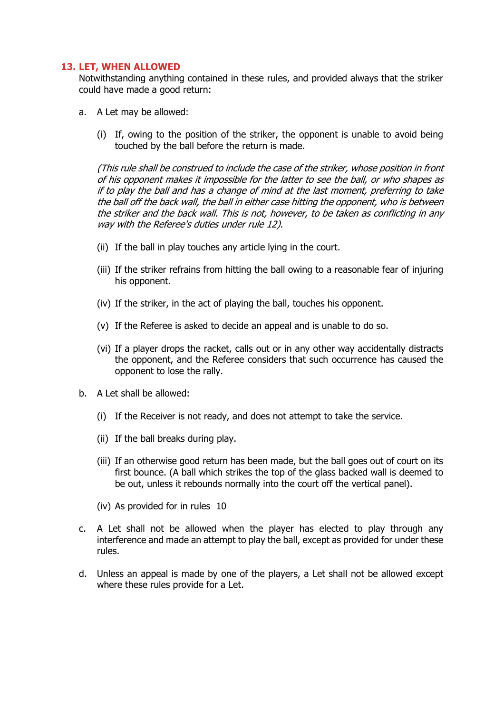# **13. LET, WHEN ALLOWED**

Notwithstanding anything contained in these rules, and provided always that the striker could have made a good return:

- a. A Let may be allowed:
	- (i) If, owing to the position of the striker, the opponent is unable to avoid being touched by the ball before the return is made.

(This rule shall be construed to include the case of the striker, whose position in front of his opponent makes it impossible for the latter to see the ball, or who shapes as if to play the ball and has a change of mind at the last moment, preferring to take the ball off the back wall, the ball in either case hitting the opponent, who is between the striker and the back wall. This is not, however, to be taken as conflicting in any way with the Referee's duties under rule 12).

- (ii) If the ball in play touches any article lying in the court.
- (iii) If the striker refrains from hitting the ball owing to a reasonable fear of injuring his opponent.
- (iv) If the striker, in the act of playing the ball, touches his opponent.
- (v) If the Referee is asked to decide an appeal and is unable to do so.
- (vi) If a player drops the racket, calls out or in any other way accidentally distracts the opponent, and the Referee considers that such occurrence has caused the opponent to lose the rally.
- b. A Let shall be allowed:
	- (i) If the Receiver is not ready, and does not attempt to take the service.
	- (ii) If the ball breaks during play.
	- (iii) If an otherwise good return has been made, but the ball goes out of court on its first bounce. (A ball which strikes the top of the glass backed wall is deemed to be out, unless it rebounds normally into the court off the vertical panel).
	- (iv) As provided for in rules 10
- c. A Let shall not be allowed when the player has elected to play through any interference and made an attempt to play the ball, except as provided for under these rules.
- d. Unless an appeal is made by one of the players, a Let shall not be allowed except where these rules provide for a Let.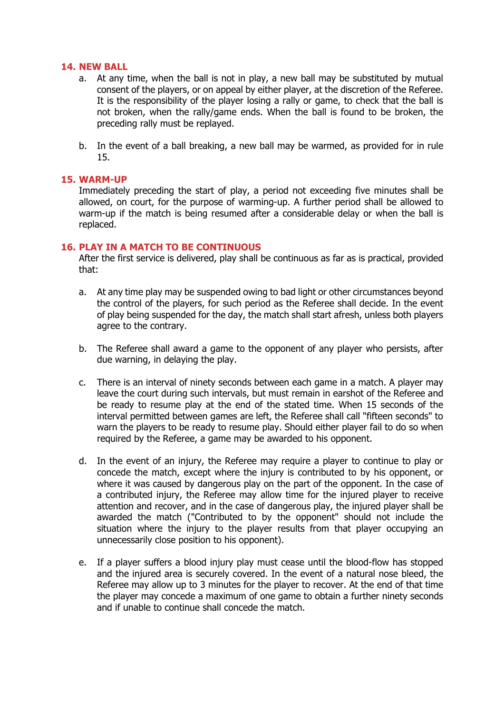### **14. NEW BALL**

- a. At any time, when the ball is not in play, a new ball may be substituted by mutual consent of the players, or on appeal by either player, at the discretion of the Referee. It is the responsibility of the player losing a rally or game, to check that the ball is not broken, when the rally/game ends. When the ball is found to be broken, the preceding rally must be replayed.
- b. In the event of a ball breaking, a new ball may be warmed, as provided for in rule 15.

### **15. WARM-UP**

Immediately preceding the start of play, a period not exceeding five minutes shall be allowed, on court, for the purpose of warming-up. A further period shall be allowed to warm-up if the match is being resumed after a considerable delay or when the ball is replaced.

### **16. PLAY IN A MATCH TO BE CONTINUOUS**

After the first service is delivered, play shall be continuous as far as is practical, provided that:

- a. At any time play may be suspended owing to bad light or other circumstances beyond the control of the players, for such period as the Referee shall decide. In the event of play being suspended for the day, the match shall start afresh, unless both players agree to the contrary.
- b. The Referee shall award a game to the opponent of any player who persists, after due warning, in delaying the play.
- c. There is an interval of ninety seconds between each game in a match. A player may leave the court during such intervals, but must remain in earshot of the Referee and be ready to resume play at the end of the stated time. When 15 seconds of the interval permitted between games are left, the Referee shall call "fifteen seconds" to warn the players to be ready to resume play. Should either player fail to do so when required by the Referee, a game may be awarded to his opponent.
- d. In the event of an injury, the Referee may require a player to continue to play or concede the match, except where the injury is contributed to by his opponent, or where it was caused by dangerous play on the part of the opponent. In the case of a contributed injury, the Referee may allow time for the injured player to receive attention and recover, and in the case of dangerous play, the injured player shall be awarded the match ("Contributed to by the opponent" should not include the situation where the injury to the player results from that player occupying an unnecessarily close position to his opponent).
- e. If a player suffers a blood injury play must cease until the blood-flow has stopped and the injured area is securely covered. In the event of a natural nose bleed, the Referee may allow up to 3 minutes for the player to recover. At the end of that time the player may concede a maximum of one game to obtain a further ninety seconds and if unable to continue shall concede the match.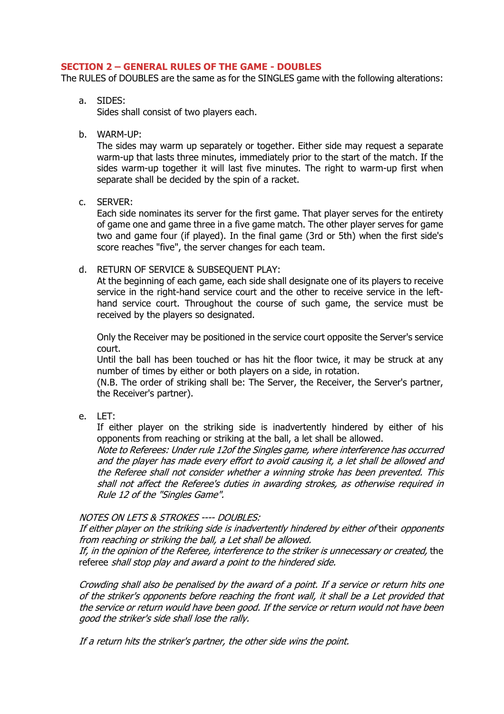# **SECTION 2 – GENERAL RULES OF THE GAME - DOUBLES**

The RULES of DOUBLES are the same as for the SINGLES game with the following alterations:

a. SIDES:

Sides shall consist of two players each.

b. WARM-UP:

The sides may warm up separately or together. Either side may request a separate warm-up that lasts three minutes, immediately prior to the start of the match. If the sides warm-up together it will last five minutes. The right to warm-up first when separate shall be decided by the spin of a racket.

c. SERVER:

Each side nominates its server for the first game. That player serves for the entirety of game one and game three in a five game match. The other player serves for game two and game four (if played). In the final game (3rd or 5th) when the first side's score reaches "five", the server changes for each team.

d. RETURN OF SERVICE & SUBSEQUENT PLAY:

At the beginning of each game, each side shall designate one of its players to receive service in the right-hand service court and the other to receive service in the lefthand service court. Throughout the course of such game, the service must be received by the players so designated.

Only the Receiver may be positioned in the service court opposite the Server's service court.

Until the ball has been touched or has hit the floor twice, it may be struck at any number of times by either or both players on a side, in rotation.

(N.B. The order of striking shall be: The Server, the Receiver, the Server's partner, the Receiver's partner).

e. LET:

If either player on the striking side is inadvertently hindered by either of his opponents from reaching or striking at the ball, a let shall be allowed.

Note to Referees: Under rule 12of the Singles game, where interference has occurred and the player has made every effort to avoid causing it, a let shall be allowed and the Referee shall not consider whether a winning stroke has been prevented. This shall not affect the Referee's duties in awarding strokes, as otherwise required in Rule 12 of the "Singles Game".

# NOTES ON LETS & STROKES ---- DOUBLES:

If either player on the striking side is inadvertently hindered by either of their opponents from reaching or striking the ball, a Let shall be allowed.

If, in the opinion of the Referee, interference to the striker is unnecessary or created, the referee shall stop play and award a point to the hindered side.

Crowding shall also be penalised by the award of a point. If a service or return hits one of the striker's opponents before reaching the front wall, it shall be a Let provided that the service or return would have been good. If the service or return would not have been good the striker's side shall lose the rally.

If a return hits the striker's partner, the other side wins the point.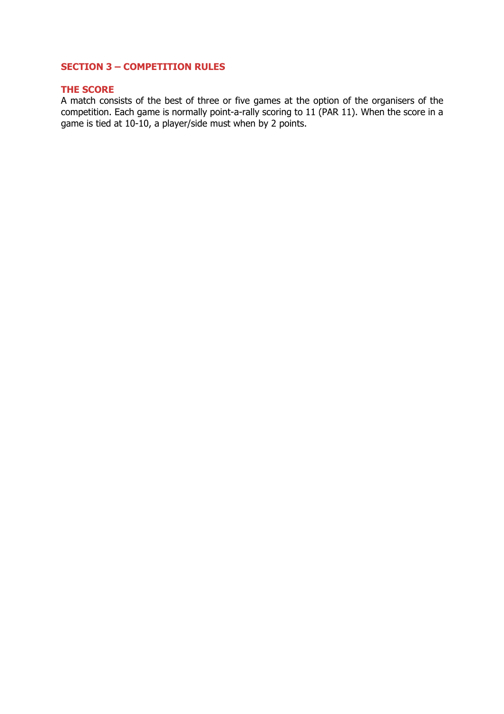# **SECTION 3 – COMPETITION RULES**

# **THE SCORE**

A match consists of the best of three or five games at the option of the organisers of the competition. Each game is normally point-a-rally scoring to 11 (PAR 11). When the score in a game is tied at 10-10, a player/side must when by 2 points.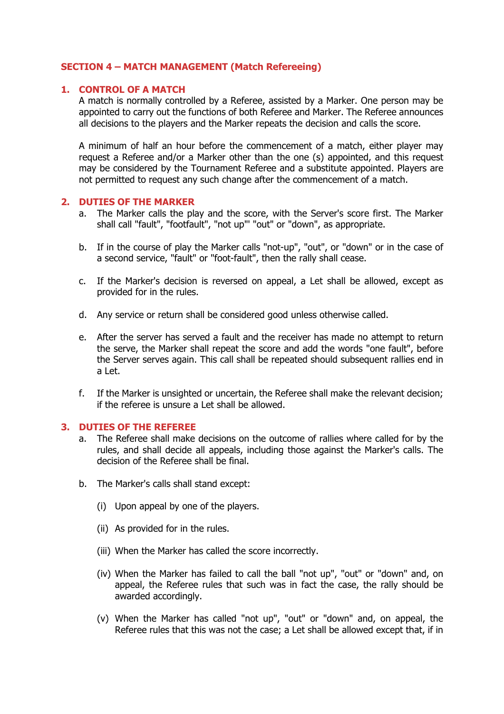# **SECTION 4 – MATCH MANAGEMENT (Match Refereeing)**

# **1. CONTROL OF A MATCH**

A match is normally controlled by a Referee, assisted by a Marker. One person may be appointed to carry out the functions of both Referee and Marker. The Referee announces all decisions to the players and the Marker repeats the decision and calls the score.

A minimum of half an hour before the commencement of a match, either player may request a Referee and/or a Marker other than the one (s) appointed, and this request may be considered by the Tournament Referee and a substitute appointed. Players are not permitted to request any such change after the commencement of a match.

#### **2. DUTIES OF THE MARKER**

- a. The Marker calls the play and the score, with the Server's score first. The Marker shall call "fault", "footfault", "not up"' "out" or "down", as appropriate.
- b. If in the course of play the Marker calls "not-up", "out", or "down" or in the case of a second service, "fault" or "foot-fault", then the rally shall cease.
- c. If the Marker's decision is reversed on appeal, a Let shall be allowed, except as provided for in the rules.
- d. Any service or return shall be considered good unless otherwise called.
- e. After the server has served a fault and the receiver has made no attempt to return the serve, the Marker shall repeat the score and add the words "one fault", before the Server serves again. This call shall be repeated should subsequent rallies end in a Let.
- f. If the Marker is unsighted or uncertain, the Referee shall make the relevant decision; if the referee is unsure a Let shall be allowed.

### **3. DUTIES OF THE REFEREE**

- a. The Referee shall make decisions on the outcome of rallies where called for by the rules, and shall decide all appeals, including those against the Marker's calls. The decision of the Referee shall be final.
- b. The Marker's calls shall stand except:
	- (i) Upon appeal by one of the players.
	- (ii) As provided for in the rules.
	- (iii) When the Marker has called the score incorrectly.
	- (iv) When the Marker has failed to call the ball "not up", "out" or "down" and, on appeal, the Referee rules that such was in fact the case, the rally should be awarded accordingly.
	- (v) When the Marker has called "not up", "out" or "down" and, on appeal, the Referee rules that this was not the case; a Let shall be allowed except that, if in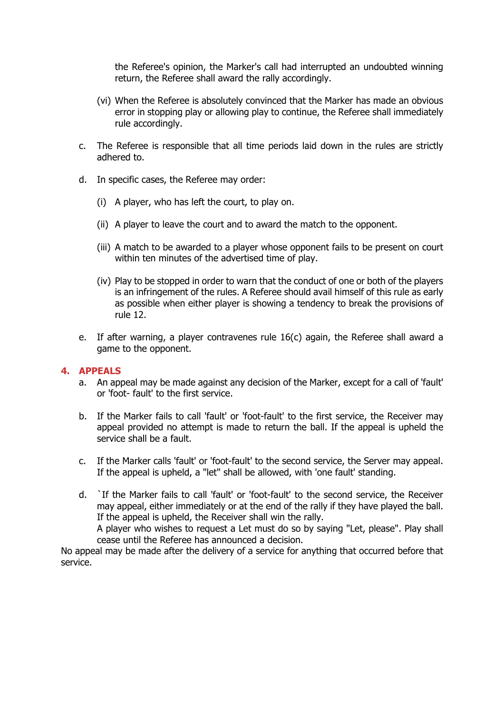the Referee's opinion, the Marker's call had interrupted an undoubted winning return, the Referee shall award the rally accordingly.

- (vi) When the Referee is absolutely convinced that the Marker has made an obvious error in stopping play or allowing play to continue, the Referee shall immediately rule accordingly.
- c. The Referee is responsible that all time periods laid down in the rules are strictly adhered to.
- d. In specific cases, the Referee may order:
	- (i) A player, who has left the court, to play on.
	- (ii) A player to leave the court and to award the match to the opponent.
	- (iii) A match to be awarded to a player whose opponent fails to be present on court within ten minutes of the advertised time of play.
	- (iv) Play to be stopped in order to warn that the conduct of one or both of the players is an infringement of the rules. A Referee should avail himself of this rule as early as possible when either player is showing a tendency to break the provisions of rule 12.
- e. If after warning, a player contravenes rule 16(c) again, the Referee shall award a game to the opponent.

#### **4. APPEALS**

- a. An appeal may be made against any decision of the Marker, except for a call of 'fault' or 'foot- fault' to the first service.
- b. If the Marker fails to call 'fault' or 'foot-fault' to the first service, the Receiver may appeal provided no attempt is made to return the ball. If the appeal is upheld the service shall be a fault.
- c. If the Marker calls 'fault' or 'foot-fault' to the second service, the Server may appeal. If the appeal is upheld, a "let" shall be allowed, with 'one fault' standing.
- d. `If the Marker fails to call 'fault' or 'foot-fault' to the second service, the Receiver may appeal, either immediately or at the end of the rally if they have played the ball. If the appeal is upheld, the Receiver shall win the rally.

A player who wishes to request a Let must do so by saying "Let, please". Play shall cease until the Referee has announced a decision.

No appeal may be made after the delivery of a service for anything that occurred before that service.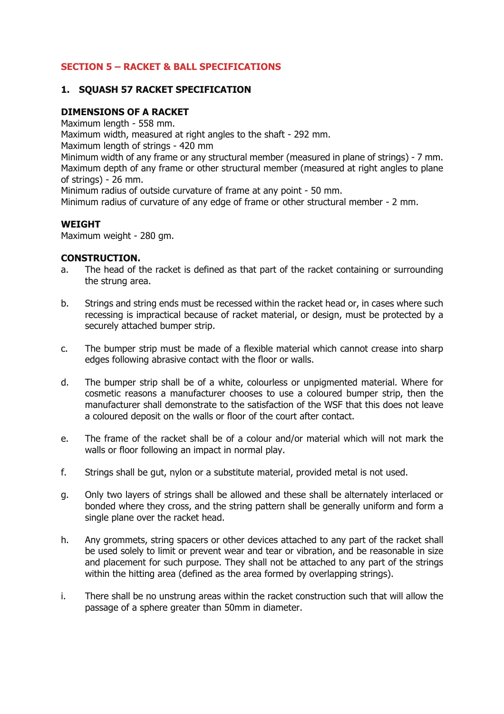# **SECTION 5 – RACKET & BALL SPECIFICATIONS**

# **1. SQUASH 57 RACKET SPECIFICATION**

# **DIMENSIONS OF A RACKET**

Maximum length - 558 mm.

Maximum width, measured at right angles to the shaft - 292 mm.

Maximum length of strings - 420 mm

Minimum width of any frame or any structural member (measured in plane of strings) - 7 mm. Maximum depth of any frame or other structural member (measured at right angles to plane of strings) - 26 mm.

Minimum radius of outside curvature of frame at any point - 50 mm.

Minimum radius of curvature of any edge of frame or other structural member - 2 mm.

# **WEIGHT**

Maximum weight - 280 gm.

# **CONSTRUCTION.**

- a. The head of the racket is defined as that part of the racket containing or surrounding the strung area.
- b. Strings and string ends must be recessed within the racket head or, in cases where such recessing is impractical because of racket material, or design, must be protected by a securely attached bumper strip.
- c. The bumper strip must be made of a flexible material which cannot crease into sharp edges following abrasive contact with the floor or walls.
- d. The bumper strip shall be of a white, colourless or unpigmented material. Where for cosmetic reasons a manufacturer chooses to use a coloured bumper strip, then the manufacturer shall demonstrate to the satisfaction of the WSF that this does not leave a coloured deposit on the walls or floor of the court after contact.
- e. The frame of the racket shall be of a colour and/or material which will not mark the walls or floor following an impact in normal play.
- f. Strings shall be gut, nylon or a substitute material, provided metal is not used.
- g. Only two layers of strings shall be allowed and these shall be alternately interlaced or bonded where they cross, and the string pattern shall be generally uniform and form a single plane over the racket head.
- h. Any grommets, string spacers or other devices attached to any part of the racket shall be used solely to limit or prevent wear and tear or vibration, and be reasonable in size and placement for such purpose. They shall not be attached to any part of the strings within the hitting area (defined as the area formed by overlapping strings).
- i. There shall be no unstrung areas within the racket construction such that will allow the passage of a sphere greater than 50mm in diameter.